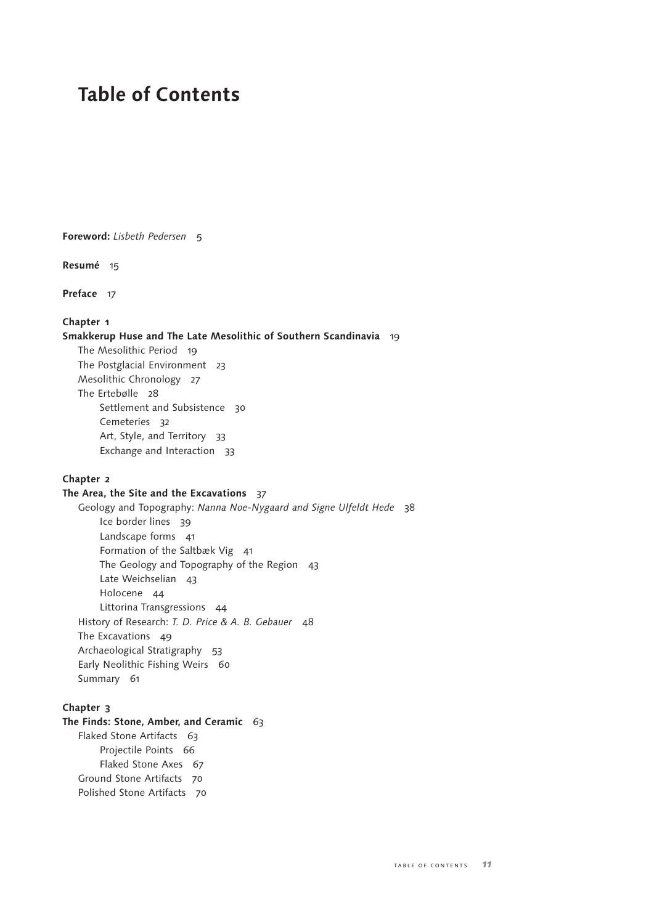# **Table of Contents**

**Foreword:** *Lisbeth Pedersen* 5

**Resumé** 15

**Preface** 17

# **Chapter 1**

**Smakkerup Huse and The Late Mesolithic of Southern Scandinavia** 19 The Mesolithic Period 19 The Postglacial Environment 23 Mesolithic Chronology 27 The Ertebølle 28 Settlement and Subsistence 30 Cemeteries 32 Art, Style, and Territory 33 Exchange and Interaction 33

#### **Chapter 2**

## **The Area, the Site and the Excavations** 37

Geology and Topography: *Nanna Noe-Nygaard and Signe Ulfeldt Hede* 38 Ice border lines 39 Landscape forms 41 Formation of the Saltbæk Vig 41 The Geology and Topography of the Region 43 Late Weichselian 43 Holocene 44 Littorina Transgressions 44 History of Research: *T. D. Price & A. B. Gebauer* 48 The Excavations 49 Archaeological Stratigraphy 53 Early Neolithic Fishing Weirs 60 Summary 61

## **Chapter 3**

**The Finds: Stone, Amber, and Ceramic** 63 Flaked Stone Artifacts 63 Projectile Points 66 Flaked Stone Axes 67 Ground Stone Artifacts 70 Polished Stone Artifacts 70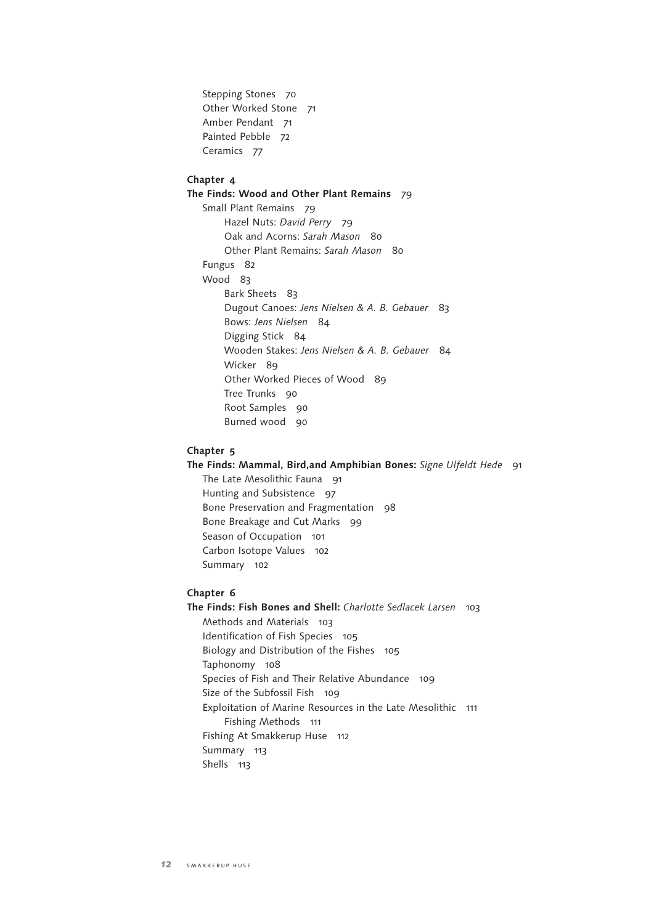Stepping Stones 70 Other Worked Stone 71 Amber Pendant 71 Painted Pebble 72 Ceramics 77

# **Chapter 4**

**The Finds: Wood and Other Plant Remains** 79

Small Plant Remains 79 Hazel Nuts: *David Perry* 79 Oak and Acorns: *Sarah Mason* 80 Other Plant Remains: *Sarah Mason* 80 Fungus 82 Wood 83 Bark Sheets 83 Dugout Canoes: *Jens Nielsen & A. B. Gebauer* 83 Bows: *Jens Nielsen* 84 Digging Stick 84 Wooden Stakes: *Jens Nielsen & A. B. Gebauer* 84 Wicker 89 Other Worked Pieces of Wood 89 Tree Trunks 90 Root Samples 90 Burned wood 90

#### **Chapter 5**

**The Finds: Mammal, Bird,and Amphibian Bones:** *Signe Ulfeldt Hede* 91

The Late Mesolithic Fauna 91 Hunting and Subsistence 97 Bone Preservation and Fragmentation 98 Bone Breakage and Cut Marks 99 Season of Occupation 101 Carbon Isotope Values 102 Summary 102

#### **Chapter 6**

**The Finds: Fish Bones and Shell:** *Charlotte Sedlacek Larsen* 103 Methods and Materials 103 Identification of Fish Species 105 Biology and Distribution of the Fishes 105 Taphonomy 108 Species of Fish and Their Relative Abundance 109 Size of the Subfossil Fish 109 Exploitation of Marine Resources in the Late Mesolithic 111 Fishing Methods 111 Fishing At Smakkerup Huse 112 Summary 113 Shells 113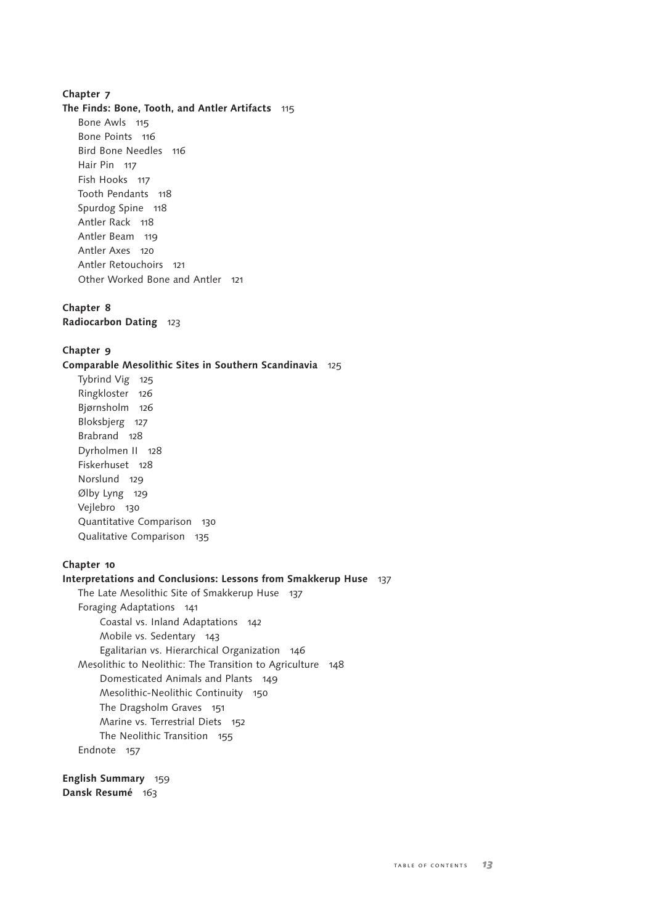#### **Chapter 7**

#### **The Finds: Bone, Tooth, and Antler Artifacts** 115

Bone Awls 115 Bone Points 116 Bird Bone Needles 116 Hair Pin 117 Fish Hooks 117 Tooth Pendants 118 Spurdog Spine 118 Antler Rack 118 Antler Beam 119 Antler Axes 120 Antler Retouchoirs 121 Other Worked Bone and Antler 121

#### **Chapter 8**

**Radiocarbon Dating** 123

#### **Chapter 9**

**Comparable Mesolithic Sites in Southern Scandinavia** 125

Tybrind Vig 125 Ringkloster 126 Bjørnsholm 126 Bloksbjerg 127 Brabrand 128 Dyrholmen II 128 Fiskerhuset 128 Norslund 129 Ølby Lyng 129 Vejlebro 130 Quantitative Comparison 130 Qualitative Comparison 135

#### **Chapter 10**

# **Interpretations and Conclusions: Lessons from Smakkerup Huse** 137 The Late Mesolithic Site of Smakkerup Huse 137 Foraging Adaptations 141 Coastal vs. Inland Adaptations 142 Mobile vs. Sedentary 143 Egalitarian vs. Hierarchical Organization 146 Mesolithic to Neolithic: The Transition to Agriculture 148 Domesticated Animals and Plants 149 Mesolithic-Neolithic Continuity 150 The Dragsholm Graves 151 Marine vs. Terrestrial Diets 152 The Neolithic Transition 155 Endnote 157

**English Summary** 159 **Dansk Resumé** 163